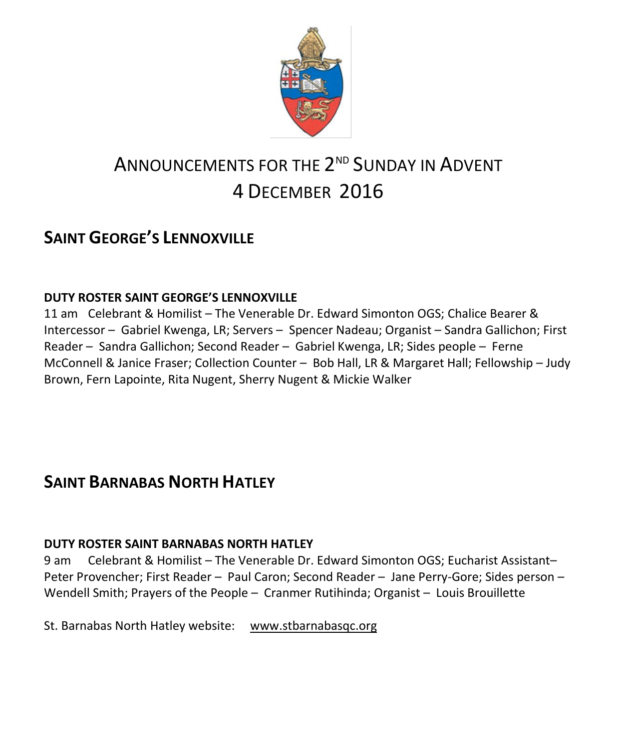

# ANNOUNCEMENTS FOR THE  $2^{\tiny\rm ND}$  Sunday in Advent 4 DECEMBER 2016

## **SAINT GEORGE'S LENNOXVILLE**

#### **DUTY ROSTER SAINT GEORGE'S LENNOXVILLE**

11 am Celebrant & Homilist – The Venerable Dr. Edward Simonton OGS; Chalice Bearer & Intercessor – Gabriel Kwenga, LR; Servers – Spencer Nadeau; Organist – Sandra Gallichon; First Reader – Sandra Gallichon; Second Reader – Gabriel Kwenga, LR; Sides people – Ferne McConnell & Janice Fraser; Collection Counter – Bob Hall, LR & Margaret Hall; Fellowship – Judy Brown, Fern Lapointe, Rita Nugent, Sherry Nugent & Mickie Walker

## **SAINT BARNABAS NORTH HATLEY**

#### **DUTY ROSTER SAINT BARNABAS NORTH HATLEY**

9 am Celebrant & Homilist – The Venerable Dr. Edward Simonton OGS; Eucharist Assistant– Peter Provencher; First Reader – Paul Caron; Second Reader – Jane Perry-Gore; Sides person – Wendell Smith; Prayers of the People – Cranmer Rutihinda; Organist – Louis Brouillette

St. Barnabas North Hatley website: [www.stbarnabasqc.org](https://webmail.ubishops.ca/owa/redir.aspx?REF=0vV84iQWktbgou41-Q7x-hpuWc0un25Lg32_cT3pE_mXa77B8czTCAFodHRwOi8vd3d3LnN0YmFybmFiYXNxYy5vcmc.)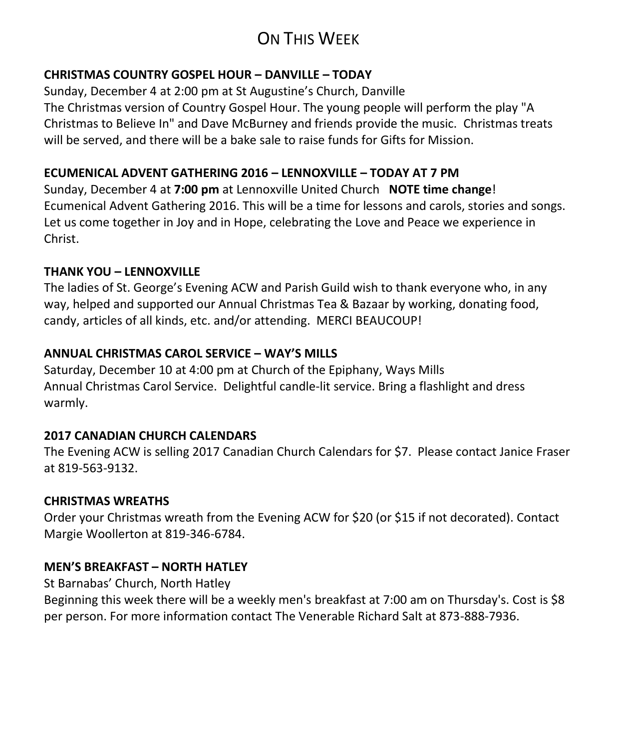## ON THIS WEEK

#### **CHRISTMAS COUNTRY GOSPEL HOUR – DANVILLE – TODAY**

Sunday, December 4 at 2:00 pm at St Augustine's Church, Danville The Christmas version of Country Gospel Hour. The young people will perform the play "A Christmas to Believe In" and Dave McBurney and friends provide the music. Christmas treats will be served, and there will be a bake sale to raise funds for Gifts for Mission.

#### **ECUMENICAL ADVENT GATHERING 2016 – LENNOXVILLE – TODAY AT 7 PM**

Sunday, December 4 at **7:00 pm** at Lennoxville United Church **NOTE time change**! Ecumenical Advent Gathering 2016. This will be a time for lessons and carols, stories and songs. Let us come together in Joy and in Hope, celebrating the Love and Peace we experience in Christ.

#### **THANK YOU – LENNOXVILLE**

The ladies of St. George's Evening ACW and Parish Guild wish to thank everyone who, in any way, helped and supported our Annual Christmas Tea & Bazaar by working, donating food, candy, articles of all kinds, etc. and/or attending. MERCI BEAUCOUP!

#### **ANNUAL CHRISTMAS CAROL SERVICE – WAY'S MILLS**

Saturday, December 10 at 4:00 pm at Church of the Epiphany, Ways Mills Annual Christmas Carol Service. Delightful candle-lit service. Bring a flashlight and dress warmly.

#### **2017 CANADIAN CHURCH CALENDARS**

The Evening ACW is selling 2017 Canadian Church Calendars for \$7. Please contact Janice Fraser at 819-563-9132.

#### **CHRISTMAS WREATHS**

Order your Christmas wreath from the Evening ACW for \$20 (or \$15 if not decorated). Contact Margie Woollerton at 819-346-6784.

#### **MEN'S BREAKFAST – NORTH HATLEY**

St Barnabas' Church, North Hatley

Beginning this week there will be a weekly men's breakfast at 7:00 am on Thursday's. Cost is \$8 per person. For more information contact The Venerable Richard Salt at 873-888-7936.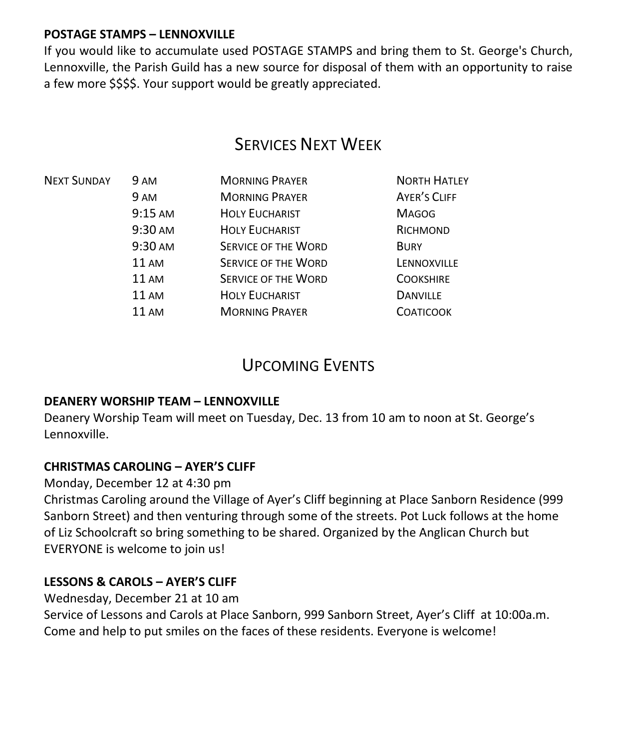#### **POSTAGE STAMPS – LENNOXVILLE**

If you would like to accumulate used POSTAGE STAMPS and bring them to St. George's Church, Lennoxville, the Parish Guild has a new source for disposal of them with an opportunity to raise a few more \$\$\$\$. Your support would be greatly appreciated.

## **SERVICES NEXT WEEK**

| 9 AM                                                                                            | <b>MORNING PRAYER</b>      | <b>NORTH HATLEY</b> |
|-------------------------------------------------------------------------------------------------|----------------------------|---------------------|
| 9 AM<br>$9:15$ AM<br>9:30 AM<br>9:30 AM<br>11AM<br><b>11 AM</b><br><b>11 AM</b><br><b>11 AM</b> | <b>MORNING PRAYER</b>      | <b>AYER'S CLIFF</b> |
|                                                                                                 | <b>HOLY EUCHARIST</b>      | <b>MAGOG</b>        |
|                                                                                                 | <b>HOLY EUCHARIST</b>      | RICHMOND            |
|                                                                                                 | <b>SERVICE OF THE WORD</b> | <b>BURY</b>         |
|                                                                                                 | <b>SERVICE OF THE WORD</b> | LENNOXVILLE         |
|                                                                                                 | <b>SERVICE OF THE WORD</b> | <b>COOKSHIRE</b>    |
|                                                                                                 | <b>HOLY EUCHARIST</b>      | <b>DANVILLE</b>     |
|                                                                                                 | <b>MORNING PRAYER</b>      | <b>COATICOOK</b>    |
|                                                                                                 |                            |                     |

### UPCOMING EVENTS

#### **DEANERY WORSHIP TEAM – LENNOXVILLE**

Deanery Worship Team will meet on Tuesday, Dec. 13 from 10 am to noon at St. George's Lennoxville.

#### **CHRISTMAS CAROLING – AYER'S CLIFF**

Monday, December 12 at 4:30 pm

Christmas Caroling around the Village of Ayer's Cliff beginning at Place Sanborn Residence (999 Sanborn Street) and then venturing through some of the streets. Pot Luck follows at the home of Liz Schoolcraft so bring something to be shared. Organized by the Anglican Church but EVERYONE is welcome to join us!

#### **LESSONS & CAROLS – AYER'S CLIFF**

Wednesday, December 21 at 10 am

Service of Lessons and Carols at Place Sanborn, 999 Sanborn Street, Ayer's Cliff at 10:00a.m. Come and help to put smiles on the faces of these residents. Everyone is welcome!